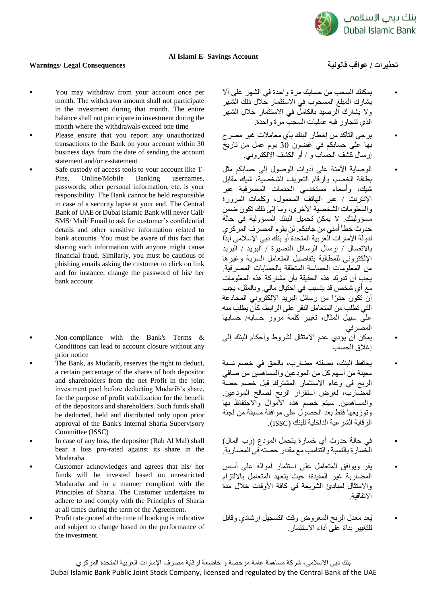

## **Al Islami E- Savings Account**

## **تحذيرات / عواقب قانونية Consequences Legal /Warnings**

- You may withdraw from your account once per month. The withdrawn amount shall not participate in the investment during that month. The entire balance shall not participate in investment during the month where the withdrawals exceed one time
- Please ensure that you report any unauthorized transactions to the Bank on your account within 30 business days from the date of sending the account statement and/or e-statement
- Safe custody of access tools to your account like T-Pins, Online/Mobile Banking usernames, passwords; other personal information, etc. is your responsibility. The Bank cannot be held responsible in case of a security lapse at your end. The Central Bank of UAE or Dubai Islamic Bank will never Call/ SMS/ Mail/ Email to ask for customer's confidential details and other sensitive information related to bank accounts. You must be aware of this fact that sharing such information with anyone might cause financial fraud. Similarly, you must be cautious of phishing emails asking the customer to click on link and for instance, change the password of his/ her bank account
- Non-compliance with the Bank's Terms & Conditions can lead to account closure without any prior notice
- The Bank, as Mudarib, reserves the right to deduct, a certain percentage of the shares of both depositor and shareholders from the net Profit in the joint investment pool before deducting Mudarib's share, for the purpose of profit stabilization for the benefit of the depositors and shareholders. Such funds shall be deducted, held and distributed only upon prior approval of the Bank's Internal Sharia Supervisory Committee (ISSC)
- In case of any loss, the depositor (Rab Al Mal) shall bear a loss pro-rated against its share in the Mudaraba.
- Customer acknowledges and agrees that his/ her funds will be invested based on unrestricted Mudaraba and in a manner compliant with the Principles of Sharia. The Customer undertakes to adhere to and comply with the Principles of Sharia at all times during the term of the Agreement.
- Profit rate quoted at the time of booking is indicative and subject to change based on the performance of the investment.
- يمكنك السحب من حسابك مرة واحدة في الشهر على أال يشارك المبلغ المسحوب في االستثمار خالل ذلك الشهر وال يشارك الرصيد بالكامل في االستثمار خالل الشهر الذي تتجاوز فيه عمليات السحب مرة واحدة.
- يرجى التأكد من إخطار البنك بأي معامالت غير مصرح بها على حسابكم في غضون 30 يوم عمل من تاريخ إر سال كشف الحساب و / أو الكشف الإلكتر وني.
- الوصاية اآلمنة على أدوات الوصول إلى حسابكم مثل بطاقة الخصم، وأرقام التعريف الشخصية، شيك مقابل .<br>شيك، وأسماء مستخدمي الخدمات المصرفية عبر اإلنترنت / عبر الهاتف المحمول، وكلمات المرور؛ و المعلومات الشخصية الأخرى، وما إلى ذلك تكون ضمن مسؤوليتك. ال يمكن تحميل البنك المسؤولية في حالة حدوث خطأ أمني من جانبكم. لن يقوم المصرف المركزي لدولة اإلمارات العربية المتحدة أو بنك دبي اإلسالمي أبدًا باالتصال / إرسال الرسائل القصيرة / البريد / البريد اإللكتروني للمطالبة بتفاصيل المتعامل السرية وغيرها من المعلومات الحساسة المتعلقة بالحسابات المصرفية. يجب أن تدرك هذه الحقيقة بأن مشاركة هذه المعلومات مع أي شخص قد يتسبب في احتيال مالي. وبالمثل، يجب أن تكون حذ ًرا من رسائل البريد اإللكتروني المخادعة التي تطلب من المتعامل النقر على الرابط، كأن يطلب منه على سبيل المثال، تغيير كلمة مرور حسابه/ حسابها المصرفي
- يمكن أن يؤدي عدم االمتثال لشروط وأحكام البنك إلى إغالق الحساب
- يحتفظ البنك، بصفته مضارب، بالحق في خصم نسبة معينة من أسهم كل من المودعين والمساهمين من صافي الربح في وعاء االستثمار المشترك قبل خصم حصة المضارب، لغرض استقرار الربح لصالح المودعين. والمساهمين. سيتم خصم هذه األموال واالحتفاظ بها وتوزيعها فقط بعد الحصول على موافقة مسبقة من لجنة الرقابة الشرعية الداخلية للبنك )ISSC).
- في حالة حدوث أي خسارة يتحمل المودع )رب المال( الخسارة بالنسبة والتناسب مع مقدار حصته في المضاربة.
- يقر ويوافق المتعامل على استثمار أمواله على أساس المضاربة غير المقيدة؛ حيث يتعهد المتعامل بااللتزام واالمتثال لمبادئ الشريعة في كافة األوقات خالل مدة االتفاقية.
- يُعد معدل الربح المعروض وقت التسجيل إرشادي وقابل للتغيير بناءً على أداء الاستثمار.